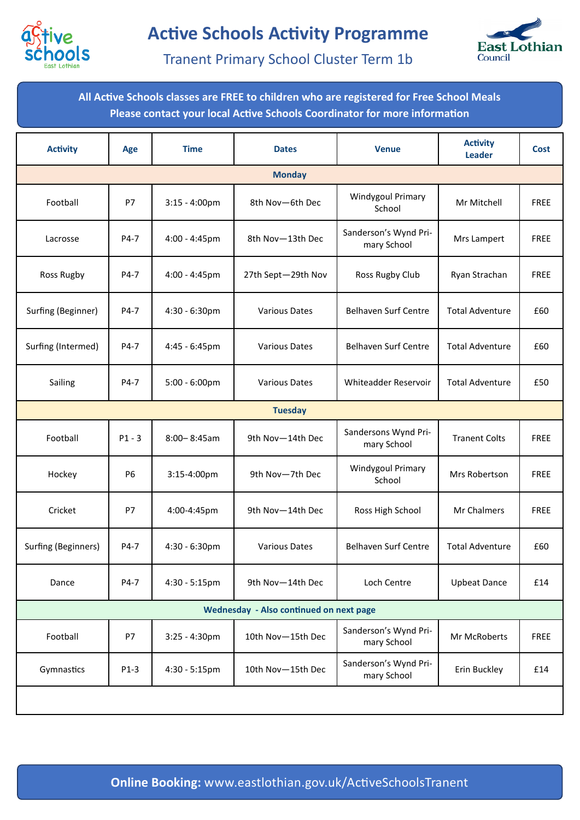



Tranent Primary School Cluster Term 1b

**All Active Schools classes are FREE to children who are registered for Free School Meals Please contact your local Active Schools Coordinator for more information**

| <b>Activity</b>                         | Age       | <b>Time</b>             | <b>Dates</b>         | <b>Venue</b>                         | <b>Activity</b><br><b>Leader</b> | Cost        |  |  |  |  |
|-----------------------------------------|-----------|-------------------------|----------------------|--------------------------------------|----------------------------------|-------------|--|--|--|--|
| <b>Monday</b>                           |           |                         |                      |                                      |                                  |             |  |  |  |  |
| Football                                | P7        | $3:15 - 4:00$ pm        | 8th Nov-6th Dec      | <b>Windygoul Primary</b><br>School   | Mr Mitchell                      | <b>FREE</b> |  |  |  |  |
| Lacrosse                                | P4-7      | 4:00 - 4:45pm           | 8th Nov-13th Dec     | Sanderson's Wynd Pri-<br>mary School | Mrs Lampert                      | <b>FREE</b> |  |  |  |  |
| Ross Rugby                              | P4-7      | 4:00 - 4:45pm           | 27th Sept-29th Nov   | Ross Rugby Club                      | Ryan Strachan                    | <b>FREE</b> |  |  |  |  |
| Surfing (Beginner)                      | P4-7      | 4:30 - 6:30pm           | <b>Various Dates</b> | <b>Belhaven Surf Centre</b>          | <b>Total Adventure</b>           | £60         |  |  |  |  |
| Surfing (Intermed)                      | P4-7      | 4:45 - 6:45pm           | <b>Various Dates</b> | <b>Belhaven Surf Centre</b>          | <b>Total Adventure</b>           | £60         |  |  |  |  |
| Sailing                                 | P4-7      | $5:00 - 6:00 \text{pm}$ | <b>Various Dates</b> | Whiteadder Reservoir                 | <b>Total Adventure</b>           | £50         |  |  |  |  |
| <b>Tuesday</b>                          |           |                         |                      |                                      |                                  |             |  |  |  |  |
| Football                                | $P1 - 3$  | $8:00 - 8:45am$         | 9th Nov-14th Dec     | Sandersons Wynd Pri-<br>mary School  | <b>Tranent Colts</b>             | <b>FREE</b> |  |  |  |  |
| Hockey                                  | <b>P6</b> | 3:15-4:00pm             | 9th Nov-7th Dec      | <b>Windygoul Primary</b><br>School   | Mrs Robertson                    | <b>FREE</b> |  |  |  |  |
| Cricket                                 | P7        | 4:00-4:45pm             | 9th Nov-14th Dec     | Ross High School                     | Mr Chalmers                      | <b>FREE</b> |  |  |  |  |
| Surfing (Beginners)                     | P4-7      | 4:30 - 6:30pm           | <b>Various Dates</b> | <b>Belhaven Surf Centre</b>          | <b>Total Adventure</b>           | £60         |  |  |  |  |
| Dance                                   | P4-7      | 4:30 - 5:15pm           | 9th Nov-14th Dec     | Loch Centre                          | <b>Upbeat Dance</b>              | £14         |  |  |  |  |
| Wednesday - Also continued on next page |           |                         |                      |                                      |                                  |             |  |  |  |  |
| Football                                | P7        | $3:25 - 4:30$ pm        | 10th Nov-15th Dec    | Sanderson's Wynd Pri-<br>mary School | Mr McRoberts                     | FREE        |  |  |  |  |
| Gymnastics                              | $P1-3$    | $4:30 - 5:15pm$         | 10th Nov-15th Dec    | Sanderson's Wynd Pri-<br>mary School | Erin Buckley                     | £14         |  |  |  |  |
|                                         |           |                         |                      |                                      |                                  |             |  |  |  |  |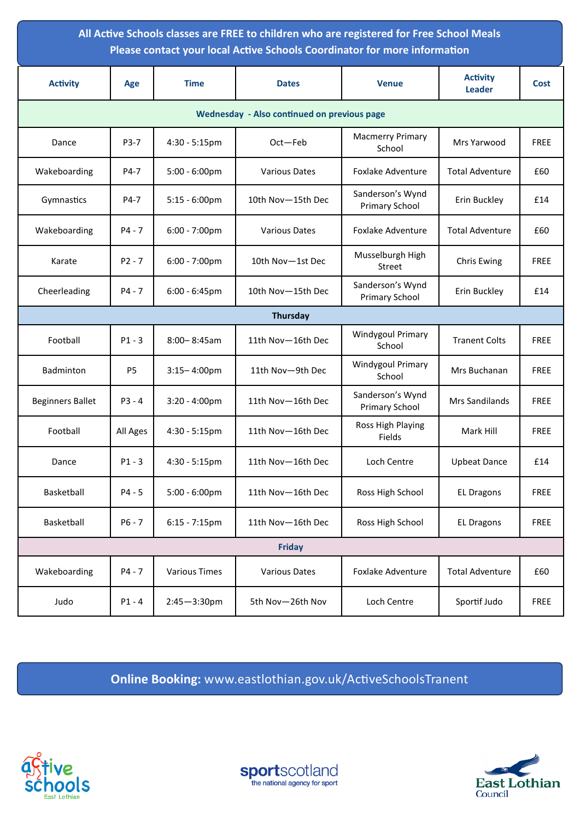| All Active Schools classes are FREE to children who are registered for Free School Meals<br>Please contact your local Active Schools Coordinator for more information |                |                         |                      |                                           |                                  |             |  |  |  |  |
|-----------------------------------------------------------------------------------------------------------------------------------------------------------------------|----------------|-------------------------|----------------------|-------------------------------------------|----------------------------------|-------------|--|--|--|--|
| <b>Activity</b>                                                                                                                                                       | Age            | <b>Time</b>             | <b>Dates</b>         | <b>Venue</b>                              | <b>Activity</b><br><b>Leader</b> | <b>Cost</b> |  |  |  |  |
| <b>Wednesday - Also continued on previous page</b>                                                                                                                    |                |                         |                      |                                           |                                  |             |  |  |  |  |
| Dance                                                                                                                                                                 | P3-7           | $4:30 - 5:15$ pm        | Oct-Feb              | <b>Macmerry Primary</b><br>School         | Mrs Yarwood                      | <b>FREE</b> |  |  |  |  |
| Wakeboarding                                                                                                                                                          | P4-7           | $5:00 - 6:00 \text{pm}$ | <b>Various Dates</b> | <b>Foxlake Adventure</b>                  | <b>Total Adventure</b>           | £60         |  |  |  |  |
| Gymnastics                                                                                                                                                            | P4-7           | $5:15 - 6:00$ pm        | 10th Nov-15th Dec    | Sanderson's Wynd<br><b>Primary School</b> | Erin Buckley                     | £14         |  |  |  |  |
| Wakeboarding                                                                                                                                                          | $P4 - 7$       | $6:00 - 7:00 \text{pm}$ | <b>Various Dates</b> | Foxlake Adventure                         | <b>Total Adventure</b>           | £60         |  |  |  |  |
| Karate                                                                                                                                                                | $P2 - 7$       | $6:00 - 7:00 \text{pm}$ | 10th Nov-1st Dec     | Musselburgh High<br>Street                | <b>Chris Ewing</b>               | <b>FREE</b> |  |  |  |  |
| Cheerleading                                                                                                                                                          | $P4 - 7$       | 6:00 - 6:45pm           | 10th Nov-15th Dec    | Sanderson's Wynd<br>Primary School        | Erin Buckley                     | £14         |  |  |  |  |
| Thursday                                                                                                                                                              |                |                         |                      |                                           |                                  |             |  |  |  |  |
| Football                                                                                                                                                              | $P1 - 3$       | $8:00 - 8:45$ am        | 11th Nov-16th Dec    | Windygoul Primary<br>School               | <b>Tranent Colts</b>             | <b>FREE</b> |  |  |  |  |
| Badminton                                                                                                                                                             | P <sub>5</sub> | $3:15 - 4:00$ pm        | 11th Nov-9th Dec     | Windygoul Primary<br>School               | Mrs Buchanan                     | <b>FREE</b> |  |  |  |  |
| <b>Beginners Ballet</b>                                                                                                                                               | $P3 - 4$       | $3:20 - 4:00$ pm        | 11th Nov-16th Dec    | Sanderson's Wynd<br><b>Primary School</b> | Mrs Sandilands                   | <b>FREE</b> |  |  |  |  |
| Football                                                                                                                                                              | All Ages       | 4:30 - 5:15pm           | 11th Nov-16th Dec    | Ross High Playing<br>Fields               | Mark Hill                        | <b>FREE</b> |  |  |  |  |
| Dance                                                                                                                                                                 | P1 - 3         | 4:30 - 5:15pm           | 11th Nov-16th Dec    | Loch Centre                               | <b>Upbeat Dance</b>              | £14         |  |  |  |  |
| Basketball                                                                                                                                                            | $P4 - 5$       | $5:00 - 6:00 \text{pm}$ | 11th Nov-16th Dec    | Ross High School                          | <b>EL Dragons</b>                | <b>FREE</b> |  |  |  |  |
| Basketball                                                                                                                                                            | $P6 - 7$       | $6:15 - 7:15$ pm        | 11th Nov-16th Dec    | Ross High School                          | <b>EL Dragons</b>                | <b>FREE</b> |  |  |  |  |
| <b>Friday</b>                                                                                                                                                         |                |                         |                      |                                           |                                  |             |  |  |  |  |
| Wakeboarding                                                                                                                                                          | $P4 - 7$       | <b>Various Times</b>    | <b>Various Dates</b> | <b>Foxlake Adventure</b>                  | <b>Total Adventure</b>           | £60         |  |  |  |  |
| Judo                                                                                                                                                                  | $P1 - 4$       | $2:45 - 3:30$ pm        | 5th Nov-26th Nov     | Loch Centre                               | Sportif Judo                     | <b>FREE</b> |  |  |  |  |

**Online Booking:** www.eastlothian.gov.uk/ActiveSchoolsTranent